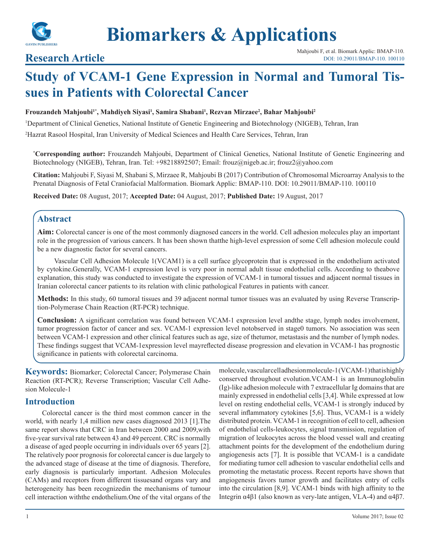

# **Study of VCAM-1 Gene Expression in Normal and Tumoral Tissues in Patients with Colorectal Cancer**

## **Frouzandeh Mahjoubi1\*, Mahdiyeh Siyasi1 , Samira Shabani1 , Rezvan Mirzaee2 , Bahar Mahjoubi2**

1 Department of Clinical Genetics, National Institute of Genetic Engineering and Biotechnology (NIGEB), Tehran, Iran 2 Hazrat Rasool Hospital, Iran University of Medical Sciences and Health Care Services, Tehran, Iran

**\* Corresponding author:** Frouzandeh Mahjoubi, Department of Clinical Genetics, National Institute of Genetic Engineering and Biotechnology (NIGEB), Tehran, Iran. Tel: +98218892507; Email: frouz@nigeb.ac.ir; frouz2@yahoo.com

**Citation:** Mahjoubi F, Siyasi M, Shabani S, Mirzaee R, Mahjoubi B (2017) Contribution of Chromosomal Microarray Analysis to the Prenatal Diagnosis of Fetal Craniofacial Malformation. Biomark Applic: BMAP-110. DOI: 10.29011/BMAP-110. 100110

**Received Date:** 08 August, 2017; **Accepted Date:** 04 August, 2017; **Published Date:** 19 August, 2017

# **Abstract**

**Aim:** Colorectal cancer is one of the most commonly diagnosed cancers in the world. Cell adhesion molecules play an important role in the progression of various cancers. It has been shown thatthe high-level expression of some Cell adhesion molecule could be a new diagnostic factor for several cancers.

Vascular Cell Adhesion Molecule 1(VCAM1) is a cell surface glycoprotein that is expressed in the endothelium activated by cytokine.Generally, VCAM-1 expression level is very poor in normal adult tissue endothelial cells. According to theabove explanation, this study was conducted to investigate the expression of VCAM-1 in tumoral tissues and adjacent normal tissues in Iranian colorectal cancer patients to its relation with clinic pathological Features in patients with cancer.

**Methods:** In this study, 60 tumoral tissues and 39 adjacent normal tumor tissues was an evaluated by using Reverse Transcription-Polymerase Chain Reaction (RT-PCR) technique.

**Conclusion:** A significant correlation was found between VCAM-1 expression level andthe stage, lymph nodes involvement, tumor progression factor of cancer and sex. VCAM-1 expression level notobserved in stage0 tumors. No association was seen between VCAM-1 expression and other clinical features such as age, size of thetumor, metastasis and the number of lymph nodes. These findings suggest that VCAM-1expression level mayreflected disease progression and elevation in VCAM-1 has prognostic significance in patients with colorectal carcinoma.

**Keywords:** Biomarker; Colorectal Cancer; Polymerase Chain Reaction (RT-PCR); Reverse Transcription; Vascular Cell Adhesion Molecule-1

# **Introduction**

Colorectal cancer is the third most common cancer in the world, with nearly 1,4 million new cases diagnosed 2013 [1].The same report shows that CRC in Iran between 2000 and 2009,with five-year survival rate between 43 and 49 percent. CRC is normally a disease of aged people occurring in individuals over 65 years [2]. The relatively poor prognosis for colorectal cancer is due largely to the advanced stage of disease at the time of diagnosis. Therefore, early diagnosis is particularly important. Adhesion Molecules (CAMs) and receptors from different tissuesand organs vary and heterogeneity has been recognizedin the mechanisms of tumour cell interaction withthe endothelium.One of the vital organs of the

molecule, vascular cell adhesion molecule-1 (VCAM-1) that is highly conserved throughout evolution.VCAM-1 is an Immunoglobulin (Ig)-like adhesion molecule with 7 extracellular Ig domains that are mainly expressed in endothelial cells [3,4]. While expressed at low level on resting endothelial cells, VCAM-1 is strongly induced by several inflammatory cytokines [5,6]. Thus, VCAM-1 is a widely distributed protein. VCAM-1 in recognition of cell to cell, adhesion of endothelial cells-leukocytes, signal transmission, regulation of migration of leukocytes across the blood vessel wall and creating attachment points for the development of the endothelium during angiogenesis acts [7]. It is possible that VCAM-1 is a candidate for mediating tumor cell adhesion to vascular endothelial cells and promoting the metastatic process. Recent reports have shown that angiogenesis favors tumor growth and facilitates entry of cells into the circulation [8,9]. VCAM-1 binds with high affinity to the Integrin α4β1 (also known as very-late antigen, VLA-4) and α4β7.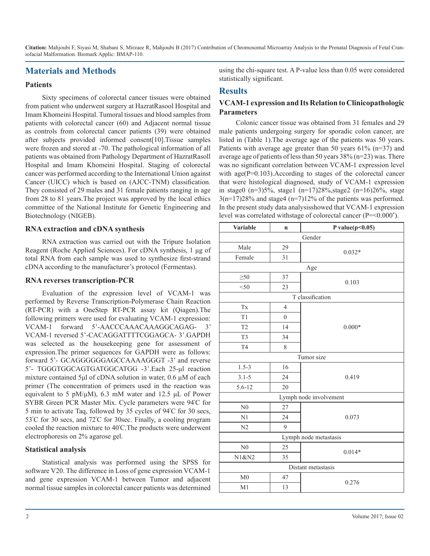# **Materials and Methods**

#### **Patients**

Sixty specimens of colorectal cancer tissues were obtained from patient who underwent surgery at HazratRasool Hospital and Imam Khomeini Hospital. Tumoral tissues and blood samples from patients with colorectal cancer (60) and Adjacent normal tissue as controls from colorectal cancer patients (39) were obtained after subjects provided informed consent[10].Tissue samples were frozen and stored at -70. The pathological information of all patients was obtained from Pathology Department of HazratRasoll Hospital and Imam Khomeini Hospital. Staging of colorectal cancer was performed according to the International Union against Cancer (UICC) which is based on (AJCC-TNM) classification. They consisted of 29 males and 31 female patients ranging in age from 28 to 81 years.The project was approved by the local ethics committee of the National Institute for Genetic Engineering and Biotechnology (NIGEB).

#### **RNA extraction and cDNA synthesis**

RNA extraction was carried out with the Tripure Isolation Reagent (Roche Applied Sciences). For cDNA synthesis, 1 μg of total RNA from each sample was used to synthesize first-strand cDNA according to the manufacturer's protocol (Fermentas).

#### **RNA reverses transcription-PCR**

Evaluation of the expression level of VCAM-1 was performed by Reverse Transcription-Polymerase Chain Reaction (RT-PCR) with a OneStep RT-PCR assay kit (Qiagen).The following primers were used for evaluating VCAM-1 expression: VCAM-1 forward 5'-AACCCAAACAAAGGCAGAG- 3' VCAM-1 reversed 5'-CACAGGATTTTCGGAGCA- 3'.GAPDH was selected as the housekeeping gene for assessment of expression.The primer sequences for GAPDH were as follows: forward 5'- GCAGGGGGGAGCCAAAAGGGT -3' and reverse 5'- TGGGTGGCAGTGATGGCATGG -3'.Each 25-μl reaction mixture contained 5μl of cDNA solution in water, 0.6 μM of each primer (The concentration of primers used in the reaction was equivalent to 5 pM/μM), 6.3 mM water and 12.5 μL of Power SYBR Green PCR Master Mix. Cycle parameters were 94º C for 5 min to activate Taq, followed by 35 cycles of 94º C for 30 secs, 53º C for 30 secs, and 72º C for 30sec. Finally, a cooling program cooled the reaction mixture to 40º C.The products were underwent electrophoresis on 2% agarose gel.

#### **Statistical analysis**

Statistical analysis was performed using the SPSS for software V20. The difference in Loss of gene expression VCAM-1 and gene expression VCAM-1 between Tumor and adjacent normal tissue samples in colorectal cancer patients was determined using the chi-square test. A P-value less than 0.05 were considered statistically significant.

# **Results**

## **VCAM-1 expression and Its Relation to Clinicopathologic Parameters**

Colonic cancer tissue was obtained from 31 females and 29 male patients undergoing surgery for sporadic colon cancer, are listed in (Table 1).The average age of the patients was 50 years. Patients with average age greater than 50 years 61% (n=37) and average age of patients of less than 50 years 38% (n=23) was. There was no significant correlation between VCAM-1 expression level with age(P=0.103). According to stages of the colorectal cancer that were histological diagnosed, study of VCAM-1 expression in stage0  $(n=3)5\%$ , stage1  $(n=17)28\%$ , stage2  $(n=16)26\%$ , stage  $3(n=17)28\%$  and stage4 (n=7)12% of the patients was performed. In the present study data analysisshowed that VCAM-1 expression level was correlated withstage of colorectal cancer (P=<0.000\* ).

| Variable               | $\mathbf n$    | P value $(p<0.05)$ |  |  |
|------------------------|----------------|--------------------|--|--|
|                        |                | Gender             |  |  |
| Male                   | 29             |                    |  |  |
| Female                 | 31             | $0.032*$           |  |  |
| Age                    |                |                    |  |  |
| $\geq 50$              | 37             | 0.103              |  |  |
| $<$ 50                 | 23             |                    |  |  |
| T classification       |                |                    |  |  |
| $\mathbf{T}\mathbf{x}$ | $\overline{4}$ |                    |  |  |
| T1                     | $\mathbf{0}$   |                    |  |  |
| T <sub>2</sub>         | 14             | $0.000*$           |  |  |
| T <sub>3</sub>         | 34             |                    |  |  |
| T <sub>4</sub>         | 8              |                    |  |  |
| Tumor size             |                |                    |  |  |
| $1.5 - 3$              | 16             |                    |  |  |
| $3.1 - 5$              | 24             | 0.419              |  |  |
| $5.6 - 12$             | 20             |                    |  |  |
| Lymph node involvement |                |                    |  |  |
| N <sub>0</sub>         | 27             | 0.073              |  |  |
| N1                     | 24             |                    |  |  |
| N <sub>2</sub>         | 9              |                    |  |  |
| Lymph node metastasis  |                |                    |  |  |
| N <sub>0</sub>         | 25             | $0.014*$           |  |  |
| N1&N2                  | 35             |                    |  |  |
| Distant metastasis     |                |                    |  |  |
| M <sub>0</sub>         | 47             | 0.276              |  |  |
| M1                     | 13             |                    |  |  |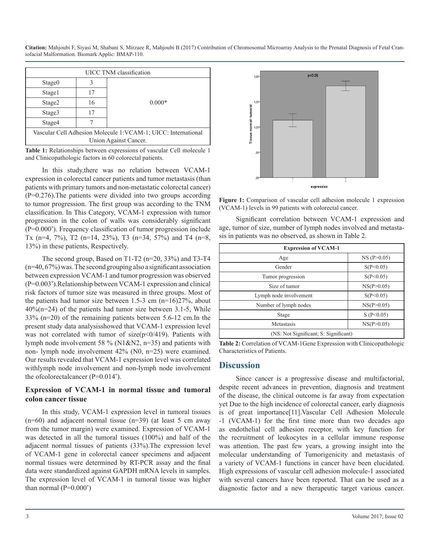| UICC TNM classification                                        |    |          |  |  |
|----------------------------------------------------------------|----|----------|--|--|
| Stage <sub>0</sub>                                             |    |          |  |  |
| Stage1                                                         | 17 |          |  |  |
| Stage2                                                         | 16 | $0.000*$ |  |  |
| Stage3                                                         | 17 |          |  |  |
| Stage4                                                         |    |          |  |  |
| Vascular Cell Adhesion Molecule 1: VCAM-1; UICC: International |    |          |  |  |
| Union Against Cancer.                                          |    |          |  |  |

**Table 1:** Relationships between expressions of vascular Cell molecule 1 and Clinicopathologic factors in 60 colorectal patients.

In this study,there was no relation between VCAM-1 expression in colorectal cancer patients and tumor metastasis (than patients with primary tumors and non-metastatic colorectal cancer) (P=0.276).The patients were divided into two groups according to tumor progression. The first group was according to the TNM classification. In This Category, VCAM-1 expression with tumor progression in the colon of walls was considerably significant (P=0.000\* ). Frequency classification of tumor progression include Tx (n=4, 7%), T2 (n=14, 23%), T3 (n=34, 57%) and T4 (n=8, 13%) in these patients, Respectively.

The second group, Based on T1-T2 (n=20, 33%) and T3-T4 (n=40, 67%) was. The second grouping also a significant association between expression VCAM-1 and tumor progression was observed (P=0.003\* ).Relationship between VCAM-1 expression and clinical risk factors of tumor size was measured in three groups. Most of the patients had tumor size between 1.5-3 cm (n=16)27%, about 40%(n=24) of the patients had tumor size between 3.1-5, While 33% (n=20) of the remaining patients between 5.6-12 cm.In the present study data analysisshowed that VCAM-1 expression level was not correlated with tumor of  $size(p<0/419)$ . Patients with lymph node involvement 58 % (N1&N2, n=35) and patients with non- lymph node involvement 42% (N0, n=25) were examined. Our results revealed that VCAM-1 expression level was correlated withlymph node involvement and non-lymph node involvement the ofcolorectalcancer (P=0.014\* ).

# **Expression of VCAM-1 in normal tissue and tumoral colon cancer tissue**

In this study, VCAM-1 expression level in tumoral tissues  $(n=60)$  and adjacent normal tissue  $(n=39)$  (at least 5 cm away from the tumor margin) were examined. Expression of VCAM-1 was detected in all the tumoral tissues (100%) and half of the adjacent normal tissues of patients (33%).The expression level of VCAM-1 gene in colorectal cancer specimens and adjacent normal tissues were determined by RT-PCR assay and the final data were standardized against GAPDH mRNA levels in samples. The expression level of VCAM-1 in tumoral tissue was higher than normal  $(P=0.000^*)$ 



**Figure 1:** Comparison of vascular cell adhesion molecule 1 expression (VCAM-1) levels in 99 patients with colorectal cancer.

Significant correlation between VCAM-1 expression and age, tumor of size, number of lymph nodes involved and metastasis in patients was no observed, as shown in Table 2.

| <b>Expression of VCAM-1</b>           |            |  |  |
|---------------------------------------|------------|--|--|
| Age                                   | NS(P>0.05) |  |  |
| Gender                                | S(P<0.05)  |  |  |
| Tumor progression                     | S(P<0.05)  |  |  |
| Size of tumor                         | NS(P>0.05) |  |  |
| Lymph node involvement                | S(P<0.05)  |  |  |
| Number of lymph nodes                 | NS(P>0.05) |  |  |
| Stage                                 | S(P<0.05)  |  |  |
| Metastasis                            | NS(P>0.05) |  |  |
| (NS: Not Significant; S: Significant) |            |  |  |

**Table 2:** Correlation of VCAM-1Gene Expression with Clinicopathologic Characteristics of Patients.

# **Discussion**

Since cancer is a progressive disease and multifactorial, despite recent advances in prevention, diagnosis and treatment of the disease, the clinical outcome is far away from expectation yet Due to the high incidence of colorectal cancer, early diagnosis is of great importance[11].Vascular Cell Adhesion Molecule -1 (VCAM-1) for the first time more than two decades ago as endothelial cell adhesion receptor, with key function for the recruitment of leukocytes in a cellular immune response was attention. The past few years, a growing insight into the molecular understanding of Tumorigenicity and metastasis of a variety of VCAM-1 functions in cancer have been elucidated. High expressions of vascular cell adhesion molecule-1 associated with several cancers have been reported. That can be used as a diagnostic factor and a new therapeutic target various cancer.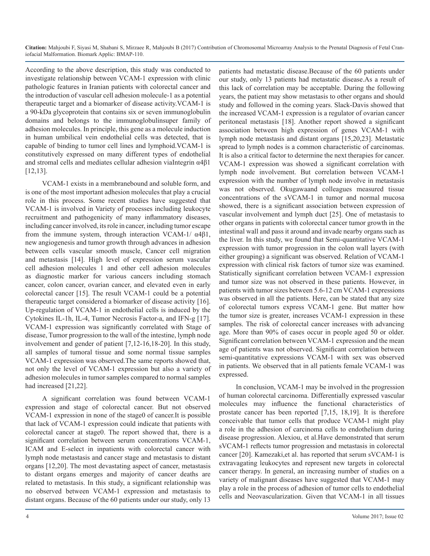According to the above description, this study was conducted to investigate relationship between VCAM-1 expression with clinic pathologic features in Iranian patients with colorectal cancer and the introduction of vascular cell adhesion molecule-1 as a potential therapeutic target and a biomarker of disease activity.VCAM-1 is a 90-kDa glycoprotein that contains six or seven immunoglobulin domains and belongs to the immunoglobulinsuper family of adhesion molecules. In principle, this gene as a molecule induction in human umbilical vein endothelial cells was detected, that is capable of binding to tumor cell lines and lymphoid.VCAM-1 is constitutively expressed on many different types of endothelial and stromal cells and mediates cellular adhesion viaIntegrin α4β1 [12,13].

VCAM-1 exists in a membranebound and soluble form, and is one of the most important adhesion molecules that play a crucial role in this process. Some recent studies have suggested that VCAM-1 is involved in Variety of processes including leukocyte recruitment and pathogenicity of many inflammatory diseases, including cancer involved, its role in cancer, including tumor escape from the immune system, through interaction VCAM-1/ α4β1, new angiogenesis and tumor growth through advances in adhesion between cells vascular smooth muscle, Cancer cell migration and metastasis [14]. High level of expression serum vascular cell adhesion molecules 1 and other cell adhesion molecules as diagnostic marker for various cancers including stomach cancer, colon cancer, ovarian cancer, and elevated even in early colorectal cancer [15]. The result VCAM-1 could be a potential therapeutic target considered a biomarker of disease activity [16]. Up-regulation of VCAM-1 in endothelial cells is induced by the Cytokines IL-1h, IL-4, Tumor Necrosis Factor-a, and IFN-g [17]. VCAM-1 expression was significantly correlated with Stage of disease, Tumor progression to the wall of the intestine, lymph node involvement and gender of patient [7,12-16,18-20]. In this study, all samples of tumoral tissue and some normal tissue samples VCAM-1 expression was observed.The same reports showed that, not only the level of VCAM-1 expression but also a variety of adhesion molecules in tumor samples compared to normal samples had increased [21,22].

A significant correlation was found between VCAM-1 expression and stage of colorectal cancer. But not observed VCAM-1 expression in none of the stage0 of cancer.It is possible that lack of VCAM-1 expression could indicate that patients with colorectal cancer at stage0. The report showed that, there is a significant correlation between serum concentrations VCAM-1, ICAM and E-select in inpatients with colorectal cancer with lymph node metastasis and cancer stage and metastasis to distant organs [12,20]. The most devastating aspect of cancer, metastasis to distant organs emerges and majority of cancer deaths are related to metastasis. In this study, a significant relationship was no observed between VCAM-1 expression and metastasis to distant organs. Because of the 60 patients under our study, only 13

patients had metastatic disease.Because of the 60 patients under our study, only 13 patients had metastatic disease.As a result of this lack of correlation may be acceptable. During the following years, the patient may show metastasis to other organs and should study and followed in the coming years. Slack-Davis showed that the increased VCAM-1 expression is a regulator of ovarian cancer peritoneal metastasis [18]. Another report showed a significant association between high expression of genes VCAM-1 with lymph node metastasis and distant organs [15,20,23]. Metastatic spread to lymph nodes is a common characteristic of carcinomas. It is also a critical factor to determine the next therapies for cancer. VCAM-1 expression was showed a significant correlation with lymph node involvement. But correlation between VCAM-1 expression with the number of lymph node involve in metastasis was not observed. Okugawaand colleagues measured tissue concentrations of the sVCAM-1 in tumor and normal mucosa showed, there is a significant association between expression of vascular involvement and lymph duct [25]. One of metastasis to other organs in patients with colorectal cancer tumor growth in the intestinal wall and pass it around and invade nearby organs such as the liver. In this study, we found that Semi-quantitative VCAM-1 expression with tumor progression in the colon wall layers (with either grouping) a significant was observed. Relation of VCAM-1 expression with clinical risk factors of tumor size was examined. Statistically significant correlation between VCAM-1 expression and tumor size was not observed in these patients. However, in patients with tumor sizes between 5.6-12 cm VCAM-1 expressions was observed in all the patients. Here, can be stated that any size of colorectal tumors express VCAM-1 gene. But matter how the tumor size is greater, increases VCAM-1 expression in these samples. The risk of colorectal cancer increases with advancing age. More than 90% of cases occur in people aged 50 or older. Significant correlation between VCAM-1 expression and the mean age of patients was not observed. Significant correlation between semi-quantitative expressions VCAM-1 with sex was observed in patients. We observed that in all patients female VCAM-1 was expressed.

In conclusion, VCAM-1 may be involved in the progression of human colorectal carcinoma. Differentially expressed vascular molecules may influence the functional characteristics of prostate cancer has been reported [7,15, 18,19]. It is therefore conceivable that tumor cells that produce VCAM-1 might play a role in the adhesion of carcinoma cells to endothelium during disease progression. Alexiou, et al.Have demonstrated that serum sVCAM-1 reflects tumor progression and metastasis in colorectal cancer [20]. Kamezaki,et al. has reported that serum sVCAM-1 is extravagating leukocytes and represent new targets in colorectal cancer therapy. In general, an increasing number of studies on a variety of malignant diseases have suggested that VCAM-1 may play a role in the process of adhesion of tumor cells to endothelial cells and Neovascularization. Given that VCAM-1 in all tissues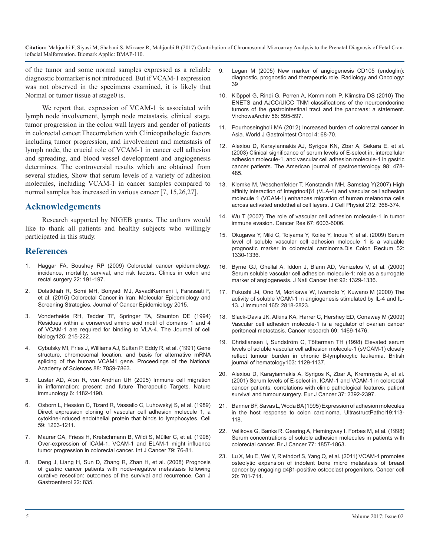of the tumor and some normal samples expressed as a reliable [diagnostic biomarker is not introduced. But if VCAM-1 expression](http://www.radioloncol.com/index.php/ro/article/view/1282)  was not observed in the specimens examined, it is likely that Normal or tumor tissue at stage0 is.

We report that, expression of VCAM-1 is associated with lymph node involvement, lymph node metastasis, clinical stage, tumor progression in the colon wall layers and gender of patients [in colorectal cancer.Thecorrelation with Clinicopathologic factors](https://www.ncbi.nlm.nih.gov/pmc/articles/PMC3334381/)  including tumor progression, and involvement and metastasis of lymph node, the crucial role of VCAM-1 in cancer cell adhesion and spreading, and blood vessel development and angiogenesis determines. The controversial results which are obtained from several studies, Show that serum levels of a variety of adhesion molecules, including VCAM-1 in cancer samples compared to [normal samples has increased in various cancer \[7, 15,26,27\].](https://www.ncbi.nlm.nih.gov/pubmed/17352405)

# **Acknowledgements**

[Research supported by NIGEB grants. The authors would](https://www.ncbi.nlm.nih.gov/pubmed/17616653)  like to thank all patients and healthy subjects who willingly participated in this study.

# **References**

- 1. Haggar FA, Boushey RP (2009) Colorectal cancer epidemiology: [incidence, mortality, survival, and risk factors. Clinics in colon and](https://www.ncbi.nlm.nih.gov/pubmed/10944555)  rectal surgery 22: 191-197.
- 2. [Dolatkhah R, Somi MH, Bonyadi MJ, AsvadiKermani I, Farassati F,](https://www.hindawi.com/journals/jce/2015/643020/)  [et al. \(2015\) Colorectal Cancer in Iran: Molecular Epidemiology and](https://www.hindawi.com/journals/jce/2015/643020/) [Screening Strategies. Journal of Cancer Epidemiology 2015.](https://www.hindawi.com/journals/jce/2015/643020/)
- 3. [Vonderheide RH, Tedder TF, Springer TA, Staunton DE \(1994\)](https://www.ncbi.nlm.nih.gov/pubmed/7511143)  [Residues within a conserved amino acid motif of domains 1 and 4](https://www.ncbi.nlm.nih.gov/pubmed/7511143) [of VCAM-1 are required for binding to VLA-4. The Journal of cell](https://www.ncbi.nlm.nih.gov/pubmed/7511143) [biology125: 215-222.](https://www.ncbi.nlm.nih.gov/pubmed/7511143)
- [Cybulsky MI, Fries J, Williams AJ, Sultan P, Eddy R, et al. \(1991\) Gene](https://www.ncbi.nlm.nih.gov/pmc/articles/PMC52403/) [structure, chromosomal location, and basis for alternative mRNA](https://www.ncbi.nlm.nih.gov/pmc/articles/PMC52403/)  [splicing of the human VCAM1 gene. Proceedings of the National](https://www.ncbi.nlm.nih.gov/pmc/articles/PMC52403/)  [Academy of Sciences 88: 7859-7863.](https://www.ncbi.nlm.nih.gov/pmc/articles/PMC52403/)
- 5. [Luster AD, Alon R, von Andrian UH \(2005\) Immune cell migration](https://www.ncbi.nlm.nih.gov/pubmed/16369557) [in inflammation: present and future Therapeutic Targets. Nature](https://www.ncbi.nlm.nih.gov/pubmed/16369557)  [immunology 6: 1182-1190.](https://www.ncbi.nlm.nih.gov/pubmed/16369557)
- 6. [Osborn L, Hession C, Tizard R, Vassallo C, Luhowskyj S, et al. \(1989\)](https://www.ncbi.nlm.nih.gov/pubmed/2688898) [Direct expression cloning of vascular cell adhesion molecule 1, a](https://www.ncbi.nlm.nih.gov/pubmed/2688898) [cytokine-induced endothelial protein that binds to lymphocytes. Cell](https://www.ncbi.nlm.nih.gov/pubmed/2688898)  [59: 1203-1211.](https://www.ncbi.nlm.nih.gov/pubmed/2688898)
- 7. [Maurer CA, Friess H, Kretschmann B, Wildi S, Müller C, et al. \(1998\)](https://www.ncbi.nlm.nih.gov/pubmed/9495363) Over-expression of ICAM-[1, VCAM-1 and ELAM-1 might influence](https://www.ncbi.nlm.nih.gov/pubmed/9495363)  [tumor progression in colorectal cancer. Int J Cancer 79: 76-81.](https://www.ncbi.nlm.nih.gov/pubmed/9495363)
- 8. [Deng J, Liang H, Sun D, Zhang R, Zhan H, et al. \(2008\) Prognosis](https://www.ncbi.nlm.nih.gov/pubmed/18925308) [of gastric cancer patients with node-negative metastasis following](https://www.ncbi.nlm.nih.gov/pubmed/18925308)  [curative resection: outcomes of the survival and recurrence. Can J](https://www.ncbi.nlm.nih.gov/pubmed/18925308)  [Gastroenterol 22: 835.](https://www.ncbi.nlm.nih.gov/pubmed/18925308)
- [Legan M \(2005\) New marker of angiogenesis CD105 \(endoglin\):](http://www.radioloncol.com/index.php/ro/article/view/1282) diagnostic, prognostic and therapeutic role. Radiology and Oncology: [39](http://www.radioloncol.com/index.php/ro/article/view/1282)
- 10. [Klöppel G, Rindi G, Perren A, Komminoth P, Klimstra DS \(2010\) The](https://www.ncbi.nlm.nih.gov/pubmed/20422210) [ENETS and AJCC/UICC TNM classifications of the neuroendocrine](https://www.ncbi.nlm.nih.gov/pubmed/20422210)  [tumors of the gastrointestinal tract and the pancreas: a statement.](https://www.ncbi.nlm.nih.gov/pubmed/20422210)  [VirchowsArchiv 56: 595-597.](https://www.ncbi.nlm.nih.gov/pubmed/20422210)
- 11. [Pourhoseingholi MA \(2012\) Increased burden of colorectal cancer in](https://www.ncbi.nlm.nih.gov/pmc/articles/PMC3334381/)  Asia. World J Gastrointest Oncol 4: 68-70.
- 12. Alexiou D, Karayiannakis AJ, Syrigos KN, Zbar A, Sekara E, et al. (2003) Clinical significance of serum levels of E-select in, intercellular adhesion molecule-1, and vascular cell adhesion molecule-1 in gastric cancer patients. The American journal of gastroenterology 98: 478- 485.
- 13. [Klemke M, Weschenfelder T, Konstandin MH, Samstag Y\(2007\) High](https://www.ncbi.nlm.nih.gov/pubmed/17352405)  affinity interaction of Integrinα4β1 (VLA-4) and vascular cell adhesion [molecule 1 \(VCAM-1\) enhances migration of human melanoma cells](https://www.ncbi.nlm.nih.gov/pubmed/17352405)  [across activated endothelial cell layers. J Cell Physiol 212: 368-374.](https://www.ncbi.nlm.nih.gov/pubmed/17352405)
- 14. [Wu T \(2007\) The role of vascular cell adhesion molecule-1 in tumor](https://www.ncbi.nlm.nih.gov/pubmed/17616653) immune evasion. Cancer Res 67: 6003-6006.
- 15. [Okugawa Y, Miki C, Toiyama Y, Koike Y, Inoue Y, et al. \(2009\) Serum](https://www.ncbi.nlm.nih.gov/pubmed/19571712)  [level of soluble vascular cell adhesion molecule 1 is a valuable](https://www.ncbi.nlm.nih.gov/pubmed/19571712)  [prognostic marker in colorectal carcinoma.Dis Colon Rectum 52:](https://www.ncbi.nlm.nih.gov/pubmed/19571712)  [1330-1336.](https://www.ncbi.nlm.nih.gov/pubmed/19571712)
- 16. [Byrne GJ, Ghellal A, Iddon J, Blann AD, Venizelos V, et al. \(2000\)](https://www.ncbi.nlm.nih.gov/pubmed/10944555)  Serum soluble vascular cell adhesion molecule-1: role as a surrogate [marker of angiogenesis. J Natl Cancer Inst 92: 1329-1336.](https://www.ncbi.nlm.nih.gov/pubmed/10944555)
- 17. [Fukushi J-i, Ono M, Morikawa W, Iwamoto Y, Kuwano M \(2000\) The](https://www.ncbi.nlm.nih.gov/pubmed/10946314) activity of soluble VCAM-1 in angiogenesis stimulated by IL-4 and IL-[13. J Immunol 165: 2818-2823.](https://www.ncbi.nlm.nih.gov/pubmed/10946314)
- 18. [Slack-Davis JK, Atkins KA, Harrer C, Hershey ED, Conaway M \(2009\)](https://www.ncbi.nlm.nih.gov/pubmed/19208843) Vascular cell adhesion molecule-1 is a regulator of ovarian cancer [peritoneal metastasis. Cancer research 69: 1469-1476.](https://www.ncbi.nlm.nih.gov/pubmed/19208843)
- 19. [Christiansen I, Sundström C, Tötterman TH \(1998\) Elevated serum](http://onlinelibrary.wiley.com/doi/10.1046/j.1365-2141.1998.01110.x/full)  levels of soluble vascular cell adhesion molecule-1 (sVCAM-1) closely [reflect tumour burden in chronic B-lymphocytic leukemia. British](http://onlinelibrary.wiley.com/doi/10.1046/j.1365-2141.1998.01110.x/full) [journal of hematology103: 1129-1137.](http://onlinelibrary.wiley.com/doi/10.1046/j.1365-2141.1998.01110.x/full)
- 20. [Alexiou D, Karayiannakis A, Syrigos K, Zbar A, Kremmyda A, et al.](https://www.ncbi.nlm.nih.gov/pubmed/11720833)  (2001) Serum levels of E-select in, ICAM-1 and VCAM-1 in colorectal [cancer patients: correlations with clinic pathological features, patient](https://www.ncbi.nlm.nih.gov/pubmed/11720833)  [survival and tumour surgery. Eur J Cancer 37: 2392-2397.](https://www.ncbi.nlm.nih.gov/pubmed/11720833)
- 21. [Banner BF, Savas L, Woda BA \(1995\) Expression of adhesion molecules](https://www.ncbi.nlm.nih.gov/pubmed/7540782)  in the host response to colon carcinoma. UltrastructPathol19:113- [118.](https://www.ncbi.nlm.nih.gov/pubmed/7540782)
- 22. [Velikova G, Banks R, Gearing A, Hemingway I, Forbes M, et al. \(1998\)](https://www.ncbi.nlm.nih.gov/pmc/articles/PMC2150349/)  Serum concentrations of soluble adhesion molecules in patients with [colorectal cancer. Br J Cancer 77: 1857-1863.](https://www.ncbi.nlm.nih.gov/pmc/articles/PMC2150349/)
- 23. [Lu X, Mu E, Wei Y, Riethdorf S, Yang Q, et al. \(2011\) VCAM-1 promotes](https://www.ncbi.nlm.nih.gov/pubmed/22137794)  osteolytic expansion of indolent bone micro metastasis of breast [cancer by engaging α4β1-positive osteoclast progenitors. Cancer cell](https://www.ncbi.nlm.nih.gov/pubmed/22137794)  [20: 701-714.](https://www.ncbi.nlm.nih.gov/pubmed/22137794)